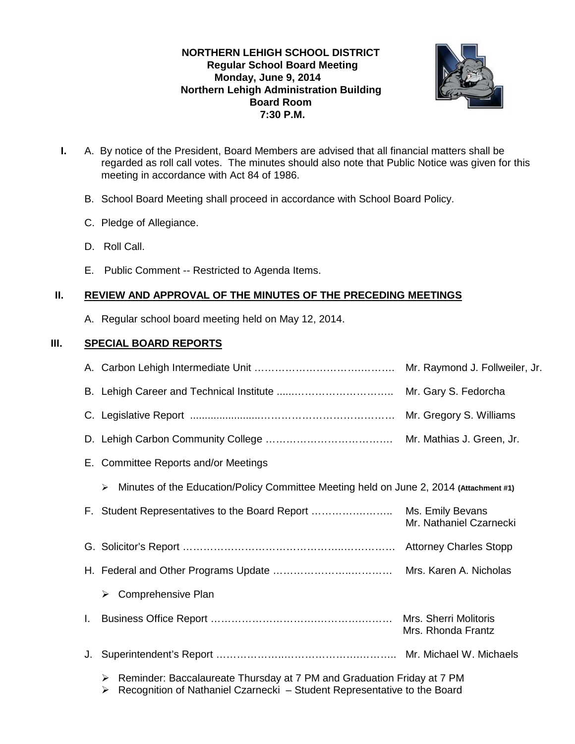# **NORTHERN LEHIGH SCHOOL DISTRICT Regular School Board Meeting Monday, June 9, 2014 Northern Lehigh Administration Building Board Room 7:30 P.M.**



- **I.** A. By notice of the President, Board Members are advised that all financial matters shall be regarded as roll call votes. The minutes should also note that Public Notice was given for this meeting in accordance with Act 84 of 1986.
	- B. School Board Meeting shall proceed in accordance with School Board Policy.
	- C. Pledge of Allegiance.
	- D. Roll Call.
	- E. Public Comment -- Restricted to Agenda Items.

# **II. REVIEW AND APPROVAL OF THE MINUTES OF THE PRECEDING MEETINGS**

A. Regular school board meeting held on May 12, 2014.

# **III. SPECIAL BOARD REPORTS**

|    |                                                                                                                                                              | Mr. Raymond J. Follweiler, Jr.              |  |
|----|--------------------------------------------------------------------------------------------------------------------------------------------------------------|---------------------------------------------|--|
|    |                                                                                                                                                              | Mr. Gary S. Fedorcha                        |  |
|    |                                                                                                                                                              |                                             |  |
|    |                                                                                                                                                              |                                             |  |
|    | E. Committee Reports and/or Meetings                                                                                                                         |                                             |  |
|    | Minutes of the Education/Policy Committee Meeting held on June 2, 2014 (Attachment #1)<br>➤                                                                  |                                             |  |
|    |                                                                                                                                                              | Mr. Nathaniel Czarnecki                     |  |
|    |                                                                                                                                                              |                                             |  |
|    |                                                                                                                                                              |                                             |  |
|    | Comprehensive Plan<br>➤                                                                                                                                      |                                             |  |
| L. |                                                                                                                                                              | Mrs. Sherri Molitoris<br>Mrs. Rhonda Frantz |  |
| J. |                                                                                                                                                              |                                             |  |
|    | Reminder: Baccalaureate Thursday at 7 PM and Graduation Friday at 7 PM<br>➤<br>Recognition of Nathaniel Czarnecki - Student Representative to the Board<br>➤ |                                             |  |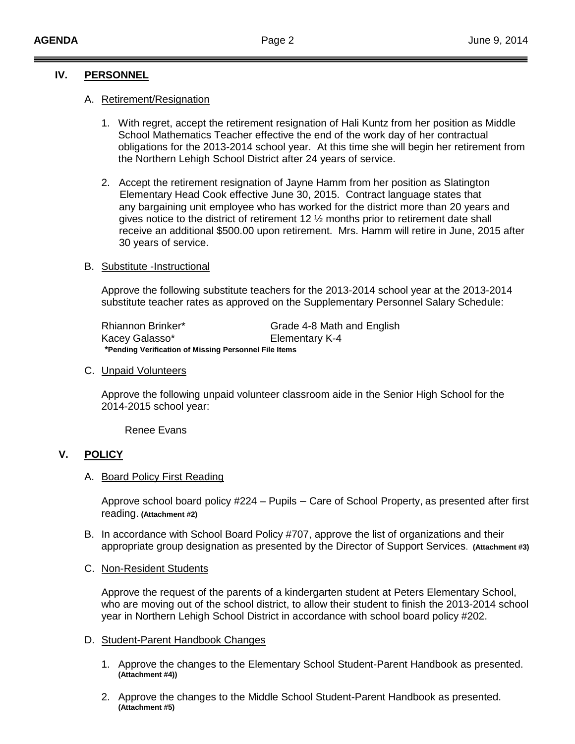## **IV. PERSONNEL**

## A. Retirement/Resignation

- 1. With regret, accept the retirement resignation of Hali Kuntz from her position as Middle School Mathematics Teacher effective the end of the work day of her contractual obligations for the 2013-2014 school year. At this time she will begin her retirement from the Northern Lehigh School District after 24 years of service.
- 2. Accept the retirement resignation of Jayne Hamm from her position as Slatington Elementary Head Cook effective June 30, 2015. Contract language states that any bargaining unit employee who has worked for the district more than 20 years and gives notice to the district of retirement 12 ½ months prior to retirement date shall receive an additional \$500.00 upon retirement. Mrs. Hamm will retire in June, 2015 after 30 years of service.

#### B. Substitute -Instructional

Approve the following substitute teachers for the 2013-2014 school year at the 2013-2014 substitute teacher rates as approved on the Supplementary Personnel Salary Schedule:

| Rhiannon Brinker*                                     | Grade 4-8 Math and English |  |
|-------------------------------------------------------|----------------------------|--|
| Kacey Galasso*                                        | Elementary K-4             |  |
| *Pending Verification of Missing Personnel File Items |                            |  |

#### C. Unpaid Volunteers

Approve the following unpaid volunteer classroom aide in the Senior High School for the 2014-2015 school year:

Renee Evans

## **V. POLICY**

#### A. Board Policy First Reading

Approve school board policy #224 – Pupils – Care of School Property, as presented after first reading. **(Attachment #2)**

B. In accordance with School Board Policy #707, approve the list of organizations and their appropriate group designation as presented by the Director of Support Services. **(Attachment #3)**

#### C. Non-Resident Students

Approve the request of the parents of a kindergarten student at Peters Elementary School, who are moving out of the school district, to allow their student to finish the 2013-2014 school year in Northern Lehigh School District in accordance with school board policy #202.

#### D. Student-Parent Handbook Changes

- 1. Approve the changes to the Elementary School Student-Parent Handbook as presented. **(Attachment #4))**
- 2. Approve the changes to the Middle School Student-Parent Handbook as presented. **(Attachment #5)**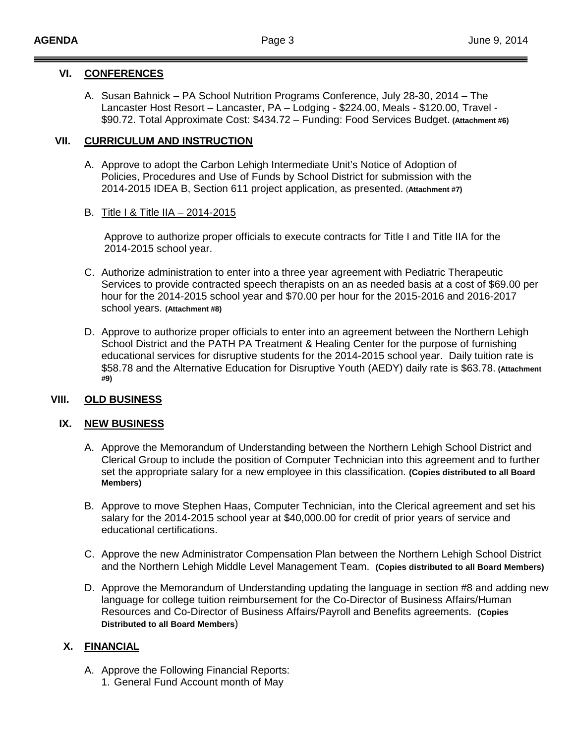## **VI. CONFERENCES**

A. Susan Bahnick – PA School Nutrition Programs Conference, July 28-30, 2014 – The Lancaster Host Resort – Lancaster, PA – Lodging - \$224.00, Meals - \$120.00, Travel - \$90.72. Total Approximate Cost: \$434.72 – Funding: Food Services Budget. **(Attachment #6)**

## **VII. CURRICULUM AND INSTRUCTION**

- A. Approve to adopt the Carbon Lehigh Intermediate Unit's Notice of Adoption of Policies, Procedures and Use of Funds by School District for submission with the 2014-2015 IDEA B, Section 611 project application, as presented. (**Attachment #7)**
- B. Title I & Title IIA 2014-2015

Approve to authorize proper officials to execute contracts for Title I and Title IIA for the 2014-2015 school year.

- C. Authorize administration to enter into a three year agreement with Pediatric Therapeutic Services to provide contracted speech therapists on an as needed basis at a cost of \$69.00 per hour for the 2014-2015 school year and \$70.00 per hour for the 2015-2016 and 2016-2017 school years. **(Attachment #8)**
- D. Approve to authorize proper officials to enter into an agreement between the Northern Lehigh School District and the PATH PA Treatment & Healing Center for the purpose of furnishing educational services for disruptive students for the 2014-2015 school year. Daily tuition rate is \$58.78 and the Alternative Education for Disruptive Youth (AEDY) daily rate is \$63.78. **(Attachment #9)**

## **VIII. OLD BUSINESS**

## **IX. NEW BUSINESS**

- A. Approve the Memorandum of Understanding between the Northern Lehigh School District and Clerical Group to include the position of Computer Technician into this agreement and to further set the appropriate salary for a new employee in this classification. **(Copies distributed to all Board Members)**
- B. Approve to move Stephen Haas, Computer Technician, into the Clerical agreement and set his salary for the 2014-2015 school year at \$40,000.00 for credit of prior years of service and educational certifications.
- C. Approve the new Administrator Compensation Plan between the Northern Lehigh School District and the Northern Lehigh Middle Level Management Team. **(Copies distributed to all Board Members)**
- D. Approve the Memorandum of Understanding updating the language in section #8 and adding new language for college tuition reimbursement for the Co-Director of Business Affairs/Human Resources and Co-Director of Business Affairs/Payroll and Benefits agreements. **(Copies Distributed to all Board Members**)

## **X. FINANCIAL**

- A. Approve the Following Financial Reports:
	- 1. General Fund Account month of May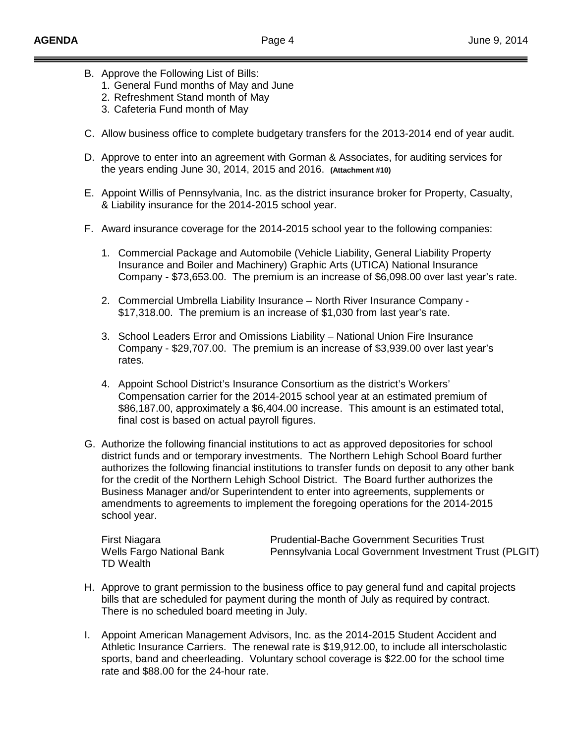- B. Approve the Following List of Bills:
	- 1. General Fund months of May and June
	- 2. Refreshment Stand month of May
	- 3. Cafeteria Fund month of May
- C. Allow business office to complete budgetary transfers for the 2013-2014 end of year audit.
- D. Approve to enter into an agreement with Gorman & Associates, for auditing services for the years ending June 30, 2014, 2015 and 2016. **(Attachment #10)**
- E. Appoint Willis of Pennsylvania, Inc. as the district insurance broker for Property, Casualty, & Liability insurance for the 2014-2015 school year.
- F. Award insurance coverage for the 2014-2015 school year to the following companies:
	- 1. Commercial Package and Automobile (Vehicle Liability, General Liability Property Insurance and Boiler and Machinery) Graphic Arts (UTICA) National Insurance Company - \$73,653.00. The premium is an increase of \$6,098.00 over last year's rate.
	- 2. Commercial Umbrella Liability Insurance North River Insurance Company \$17,318.00. The premium is an increase of \$1,030 from last year's rate.
	- 3. School Leaders Error and Omissions Liability National Union Fire Insurance Company - \$29,707.00. The premium is an increase of \$3,939.00 over last year's rates.
	- 4. Appoint School District's Insurance Consortium as the district's Workers' Compensation carrier for the 2014-2015 school year at an estimated premium of \$86,187.00, approximately a \$6,404.00 increase. This amount is an estimated total, final cost is based on actual payroll figures.
- G. Authorize the following financial institutions to act as approved depositories for school district funds and or temporary investments. The Northern Lehigh School Board further authorizes the following financial institutions to transfer funds on deposit to any other bank for the credit of the Northern Lehigh School District. The Board further authorizes the Business Manager and/or Superintendent to enter into agreements, supplements or amendments to agreements to implement the foregoing operations for the 2014-2015 school year.

TD Wealth

First Niagara Prudential-Bache Government Securities Trust Wells Fargo National Bank **Pennsylvania Local Government Investment Trust (PLGIT)** 

- H. Approve to grant permission to the business office to pay general fund and capital projects bills that are scheduled for payment during the month of July as required by contract. There is no scheduled board meeting in July.
- I. Appoint American Management Advisors, Inc. as the 2014-2015 Student Accident and Athletic Insurance Carriers. The renewal rate is \$19,912.00, to include all interscholastic sports, band and cheerleading. Voluntary school coverage is \$22.00 for the school time rate and \$88.00 for the 24-hour rate.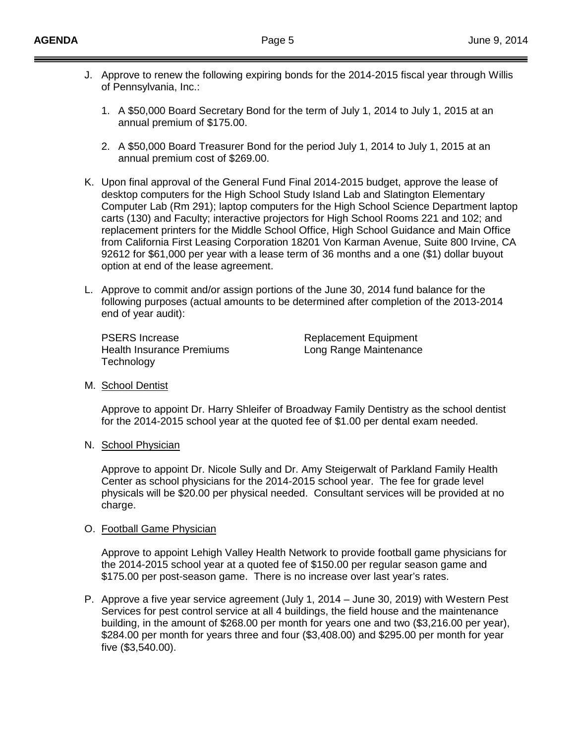- J. Approve to renew the following expiring bonds for the 2014-2015 fiscal year through Willis of Pennsylvania, Inc.:
	- 1. A \$50,000 Board Secretary Bond for the term of July 1, 2014 to July 1, 2015 at an annual premium of \$175.00.
	- 2. A \$50,000 Board Treasurer Bond for the period July 1, 2014 to July 1, 2015 at an annual premium cost of \$269.00.
- K. Upon final approval of the General Fund Final 2014-2015 budget, approve the lease of desktop computers for the High School Study Island Lab and Slatington Elementary Computer Lab (Rm 291); laptop computers for the High School Science Department laptop carts (130) and Faculty; interactive projectors for High School Rooms 221 and 102; and replacement printers for the Middle School Office, High School Guidance and Main Office from California First Leasing Corporation 18201 Von Karman Avenue, Suite 800 Irvine, CA 92612 for \$61,000 per year with a lease term of 36 months and a one (\$1) dollar buyout option at end of the lease agreement.
- L. Approve to commit and/or assign portions of the June 30, 2014 fund balance for the following purposes (actual amounts to be determined after completion of the 2013-2014 end of year audit):

PSERS Increase<br>
Health Insurance Premiums<br>
Health Insurance Premiums<br>
Replacement Equipment Health Insurance Premiums **Technology** 

M. School Dentist

Approve to appoint Dr. Harry Shleifer of Broadway Family Dentistry as the school dentist for the 2014-2015 school year at the quoted fee of \$1.00 per dental exam needed.

N. School Physician

Approve to appoint Dr. Nicole Sully and Dr. Amy Steigerwalt of Parkland Family Health Center as school physicians for the 2014-2015 school year. The fee for grade level physicals will be \$20.00 per physical needed. Consultant services will be provided at no charge.

#### O. Football Game Physician

Approve to appoint Lehigh Valley Health Network to provide football game physicians for the 2014-2015 school year at a quoted fee of \$150.00 per regular season game and \$175.00 per post-season game. There is no increase over last year's rates.

P. Approve a five year service agreement (July 1, 2014 – June 30, 2019) with Western Pest Services for pest control service at all 4 buildings, the field house and the maintenance building, in the amount of \$268.00 per month for years one and two (\$3,216.00 per year), \$284.00 per month for years three and four (\$3,408.00) and \$295.00 per month for year five (\$3,540.00).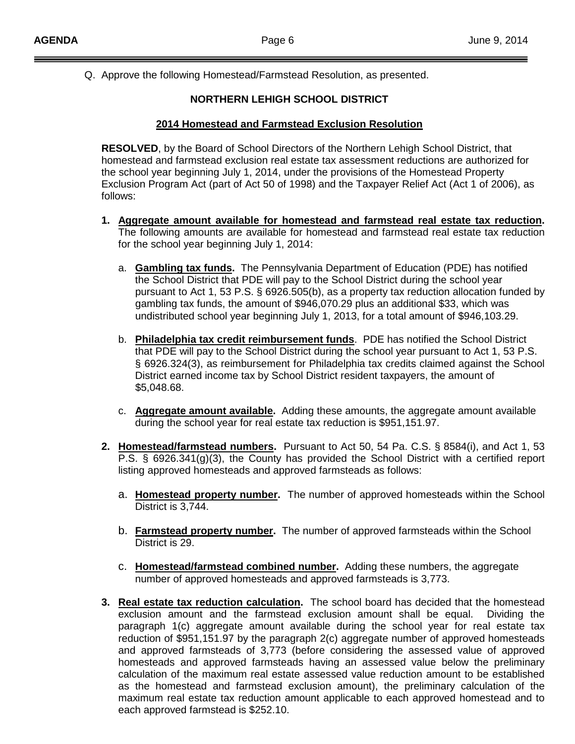Q. Approve the following Homestead/Farmstead Resolution, as presented.

# **NORTHERN LEHIGH SCHOOL DISTRICT**

## **2014 Homestead and Farmstead Exclusion Resolution**

**RESOLVED**, by the Board of School Directors of the Northern Lehigh School District, that homestead and farmstead exclusion real estate tax assessment reductions are authorized for the school year beginning July 1, 2014, under the provisions of the Homestead Property Exclusion Program Act (part of Act 50 of 1998) and the Taxpayer Relief Act (Act 1 of 2006), as follows:

- **1. Aggregate amount available for homestead and farmstead real estate tax reduction .** The following amounts are available for homestead and farmstead real estate tax reduction for the school year beginning July 1, 2014:
	- a. Cambling tax funds. The Pennsylvania Department of Education (PDE) has notified the School District that PDE will pay to the School District during the school year pursuant to Act 1, 53 P.S. § 6926.505(b), as a property tax reduction allocation funded by gambling tax funds, the amount of \$946,070.29 plus an additional \$33, which was undistributed school year beginning July 1, 2013, for a total amount of \$946,103.29.
	- b. **Philadelphia tax credit reimbursement funds** . PDE has notified the School District that PDE will pay to the School District during the school year pursuant to Act 1, 53 P.S. § 6926.324(3), as reimbursement for Philadelphia tax credits claimed against the School District earned income tax by School District resident taxpayers, the amount of \$5,048.68.
	- c. **Aggregate amount available.** Adding these amounts, the aggregate amount available during the school year for real estate tax reduction is \$951,151.97.
- **2. Homestead/farmstead numbers.** Pursuant to Act 50, 54 Pa. C.S. § 8584(i), and Act 1, 53 P.S. § 6926.341(g)(3), the County has provided the School District with a certified report listing approved homesteads and approved farmsteads as follows:
	- a. **Homestead property number .** The number of approved homesteads within the School District is 3,744.
	- b. Earmstead property number. The number of approved farmsteads within the School District is 29.
	- c. Homestead/farmstead combined number. Adding these numbers, the aggregate number of approved homesteads and approved farmsteads is 3,773.
- **3. Real estate tax reduction calculation.** The school board has decided that the homestead exclusion amount and the farmstead exclusion amount shall be equal. Dividing the paragraph 1(c) aggregate amount available during the school year for real estate tax reduction of \$951,151.97 by the paragraph 2(c) aggregate number of approved homesteads and approved farmsteads of 3,773 (before considering the assessed value of approved homesteads and approved farmsteads having an assessed value below the preliminary calculation of the maximum real estate assessed value reduction amount to be established as the homestead and farmstead exclusion amount), the preliminary calculation of the maximum real estate tax reduction amount applicable to each approved homestead and to each approved farmstead is \$252.10.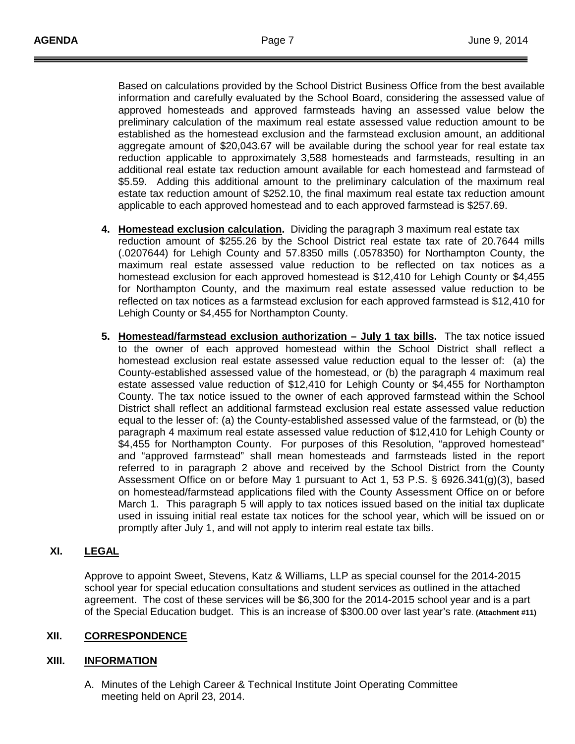Based on calculations provided by the School District Business Office from the best available information and carefully evaluated by the School Board, considering the assessed value of approved homesteads and approved farmsteads having an assessed value below the preliminary calculation of the maximum real estate assessed value reduction amount to be established as the homestead exclusion and the farmstead exclusion amount, an additional aggregate amount of \$20,043.67 will be available during the school year for real estate tax reduction applicable to approximately 3,588 homesteads and farmsteads, resulting in an additional real estate tax reduction amount available for each homestead and farmstead of \$5.59. Adding this additional amount to the preliminary calculation of the maximum real estate tax reduction amount of \$252.10, the final maximum real estate tax reduction amount applicable to each approved homestead and to each approved farmstead is \$257.69.

- **4. Homestead exclusion calculation .** Dividing the paragraph 3 maximum real estate tax reduction amount of \$255.26 by the School District real estate tax rate of 20.7644 mills (.0207644) for Lehigh County and 57.8350 mills (.0578350) for Northampton County, the maximum real estate assessed value reduction to be reflected on tax notices as a homestead exclusion for each approved homestead is \$12,410 for Lehigh County or \$4,455 for Northampton County, and the maximum real estate assessed value reduction to be reflected on tax notices as a farmstead exclusion for each approved farmstead is \$12,410 for Lehigh County or \$4,455 for Northampton County.
- **5. Homestead/farmstead exclusion authorization – July 1 tax bills .** The tax notice issued to the owner of each approved homestead within the School District shall reflect a homestead exclusion real estate assessed value reduction equal to the lesser of: (a) the County-established assessed value of the homestead, or (b) the paragraph 4 maximum real estate assessed value reduction of \$12,410 for Lehigh County or \$4,455 for Northampton County. The tax notice issued to the owner of each approved farmstead within the School District shall reflect an additional farmstead exclusion real estate assessed value reduction equal to the lesser of: (a) the County-established assessed value of the farmstead, or (b) the paragraph 4 maximum real estate assessed value reduction of \$12,410 for Lehigh County or \$4,455 for Northampton County. For purposes of this Resolution, "approved homestead" and "approved farmstead" shall mean homesteads and farmsteads listed in the report referred to in paragraph 2 above and received by the School District from the County Assessment Office on or before May 1 pursuant to Act 1, 53 P.S. § 6926.341(g)(3), based on homestead/farmstead applications filed with the County Assessment Office on or before March 1. This paragraph 5 will apply to tax notices issued based on the initial tax duplicate used in issuing initial real estate tax notices for the school year, which will be issued on or promptly after July 1, and will not apply to interim real estate tax bills.

#### **XI. LEGAL**

Approve to appoint Sweet, Stevens, Katz & Williams, LLP as special counsel for the 2014-2015 school year for special education consultations and student services as outlined in the attached agreement. The cost of these services will be \$6,300 for the 2014-2015 school year and is a part of the Special Education budget. This is an increase of \$300.00 over last year's rate. **(Attachment #11)**

## **XII. CORRESPONDENCE**

#### **XIII. INFORMATION**

A. Minutes of the Lehigh Career & Technical Institute Joint Operating Committee meeting held on April 23, 2014.